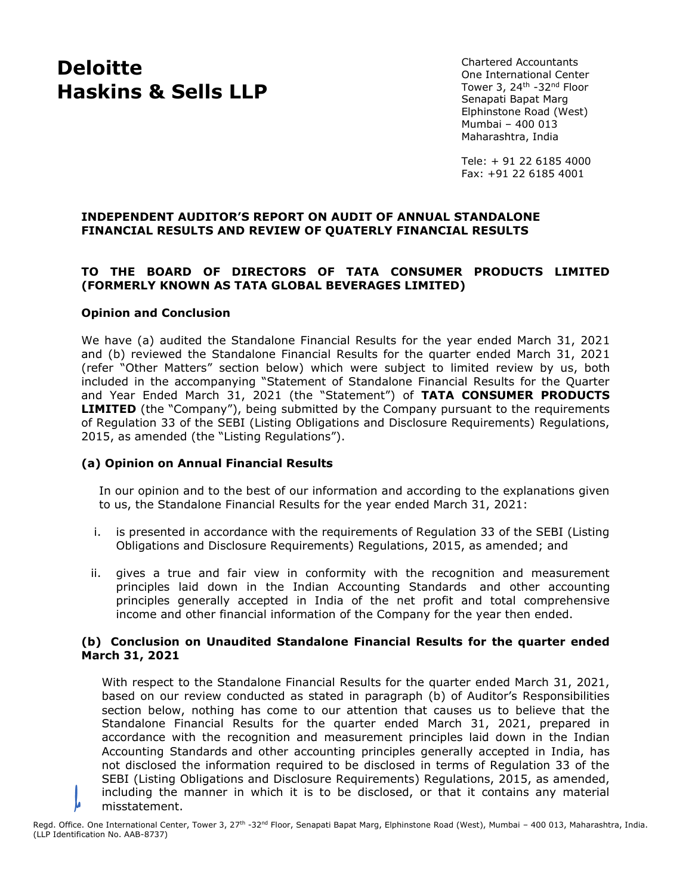Chartered Accountants One International Center Tower 3, 24<sup>th</sup> -32<sup>nd</sup> Floor Senapati Bapat Marg Elphinstone Road (West) Mumbai – 400 013 Maharashtra, India

Tele: + 91 22 6185 4000 Fax: +91 22 6185 4001

# **INDEPENDENT AUDITOR'S REPORT ON AUDIT OF ANNUAL STANDALONE FINANCIAL RESULTS AND REVIEW OF QUATERLY FINANCIAL RESULTS**

# **TO THE BOARD OF DIRECTORS OF TATA CONSUMER PRODUCTS LIMITED (FORMERLY KNOWN AS TATA GLOBAL BEVERAGES LIMITED)**

### **Opinion and Conclusion**

We have (a) audited the Standalone Financial Results for the year ended March 31, 2021 and (b) reviewed the Standalone Financial Results for the quarter ended March 31, 2021 (refer "Other Matters" section below) which were subject to limited review by us, both included in the accompanying "Statement of Standalone Financial Results for the Quarter and Year Ended March 31, 2021 (the "Statement") of **TATA CONSUMER PRODUCTS LIMITED** (the "Company"), being submitted by the Company pursuant to the requirements of Regulation 33 of the SEBI (Listing Obligations and Disclosure Requirements) Regulations, 2015, as amended (the "Listing Regulations").

# **(a) Opinion on Annual Financial Results**

In our opinion and to the best of our information and according to the explanations given to us, the Standalone Financial Results for the year ended March 31, 2021:

- i. is presented in accordance with the requirements of Regulation 33 of the SEBI (Listing Obligations and Disclosure Requirements) Regulations, 2015, as amended; and
- ii. gives a true and fair view in conformity with the recognition and measurement principles laid down in the Indian Accounting Standards and other accounting principles generally accepted in India of the net profit and total comprehensive income and other financial information of the Company for the year then ended.

### **(b) Conclusion on Unaudited Standalone Financial Results for the quarter ended March 31, 2021**

With respect to the Standalone Financial Results for the quarter ended March 31, 2021, based on our review conducted as stated in paragraph (b) of Auditor's Responsibilities section below, nothing has come to our attention that causes us to believe that the Standalone Financial Results for the quarter ended March 31, 2021, prepared in accordance with the recognition and measurement principles laid down in the Indian Accounting Standards and other accounting principles generally accepted in India, has not disclosed the information required to be disclosed in terms of Regulation 33 of the SEBI (Listing Obligations and Disclosure Requirements) Regulations, 2015, as amended, including the manner in which it is to be disclosed, or that it contains any material misstatement.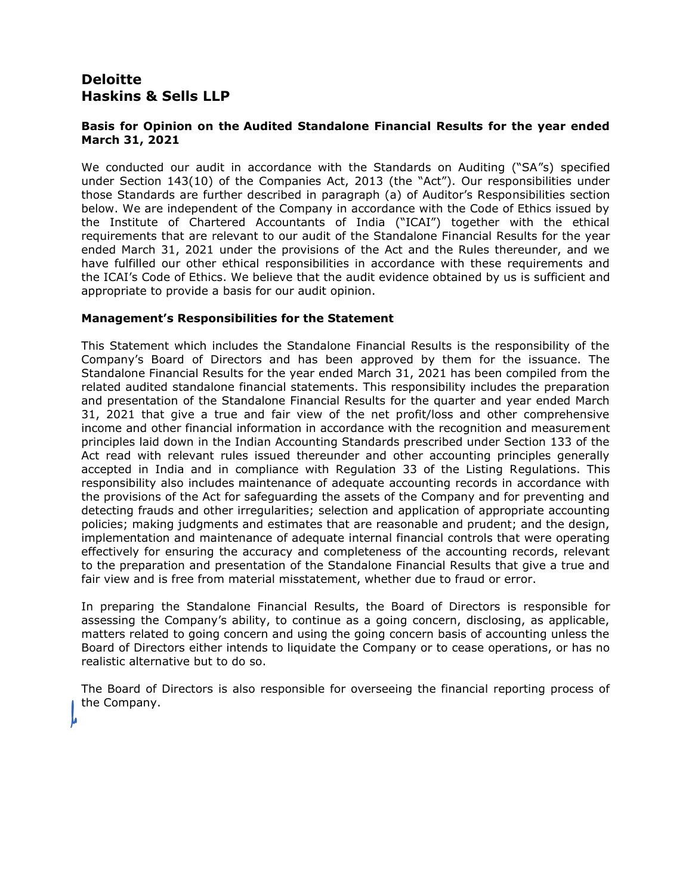# **Basis for Opinion on the Audited Standalone Financial Results for the year ended March 31, 2021**

We conducted our audit in accordance with the Standards on Auditing ("SA"s) specified under Section 143(10) of the Companies Act, 2013 (the "Act"). Our responsibilities under those Standards are further described in paragraph (a) of Auditor's Responsibilities section below. We are independent of the Company in accordance with the Code of Ethics issued by the Institute of Chartered Accountants of India ("ICAI") together with the ethical requirements that are relevant to our audit of the Standalone Financial Results for the year ended March 31, 2021 under the provisions of the Act and the Rules thereunder, and we have fulfilled our other ethical responsibilities in accordance with these requirements and the ICAI's Code of Ethics. We believe that the audit evidence obtained by us is sufficient and appropriate to provide a basis for our audit opinion.

# **Management's Responsibilities for the Statement**

This Statement which includes the Standalone Financial Results is the responsibility of the Company's Board of Directors and has been approved by them for the issuance. The Standalone Financial Results for the year ended March 31, 2021 has been compiled from the related audited standalone financial statements. This responsibility includes the preparation and presentation of the Standalone Financial Results for the quarter and year ended March 31, 2021 that give a true and fair view of the net profit/loss and other comprehensive income and other financial information in accordance with the recognition and measurement principles laid down in the Indian Accounting Standards prescribed under Section 133 of the Act read with relevant rules issued thereunder and other accounting principles generally accepted in India and in compliance with Regulation 33 of the Listing Regulations. This responsibility also includes maintenance of adequate accounting records in accordance with the provisions of the Act for safeguarding the assets of the Company and for preventing and detecting frauds and other irregularities; selection and application of appropriate accounting policies; making judgments and estimates that are reasonable and prudent; and the design, implementation and maintenance of adequate internal financial controls that were operating effectively for ensuring the accuracy and completeness of the accounting records, relevant to the preparation and presentation of the Standalone Financial Results that give a true and fair view and is free from material misstatement, whether due to fraud or error.

In preparing the Standalone Financial Results, the Board of Directors is responsible for assessing the Company's ability, to continue as a going concern, disclosing, as applicable, matters related to going concern and using the going concern basis of accounting unless the Board of Directors either intends to liquidate the Company or to cease operations, or has no realistic alternative but to do so.

The Board of Directors is also responsible for overseeing the financial reporting process of the Company.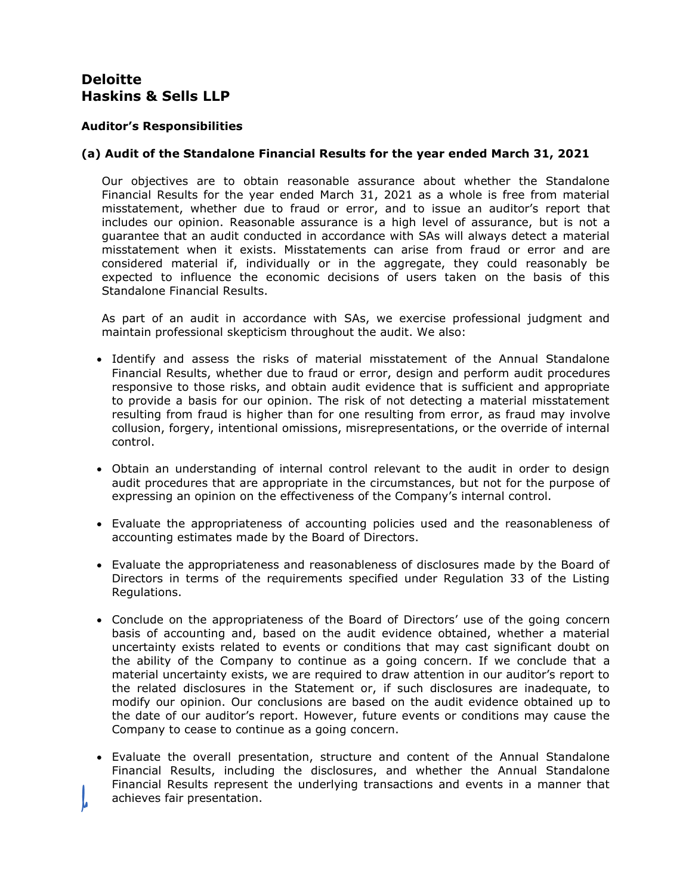# **Auditor's Responsibilities**

# **(a) Audit of the Standalone Financial Results for the year ended March 31, 2021**

Our objectives are to obtain reasonable assurance about whether the Standalone Financial Results for the year ended March 31, 2021 as a whole is free from material misstatement, whether due to fraud or error, and to issue an auditor's report that includes our opinion. Reasonable assurance is a high level of assurance, but is not a guarantee that an audit conducted in accordance with SAs will always detect a material misstatement when it exists. Misstatements can arise from fraud or error and are considered material if, individually or in the aggregate, they could reasonably be expected to influence the economic decisions of users taken on the basis of this Standalone Financial Results.

As part of an audit in accordance with SAs, we exercise professional judgment and maintain professional skepticism throughout the audit. We also:

- Identify and assess the risks of material misstatement of the Annual Standalone Financial Results, whether due to fraud or error, design and perform audit procedures responsive to those risks, and obtain audit evidence that is sufficient and appropriate to provide a basis for our opinion. The risk of not detecting a material misstatement resulting from fraud is higher than for one resulting from error, as fraud may involve collusion, forgery, intentional omissions, misrepresentations, or the override of internal control.
- Obtain an understanding of internal control relevant to the audit in order to design audit procedures that are appropriate in the circumstances, but not for the purpose of expressing an opinion on the effectiveness of the Company's internal control.
- Evaluate the appropriateness of accounting policies used and the reasonableness of accounting estimates made by the Board of Directors.
- Evaluate the appropriateness and reasonableness of disclosures made by the Board of Directors in terms of the requirements specified under Regulation 33 of the Listing Regulations.
- Conclude on the appropriateness of the Board of Directors' use of the going concern basis of accounting and, based on the audit evidence obtained, whether a material uncertainty exists related to events or conditions that may cast significant doubt on the ability of the Company to continue as a going concern. If we conclude that a material uncertainty exists, we are required to draw attention in our auditor's report to the related disclosures in the Statement or, if such disclosures are inadequate, to modify our opinion. Our conclusions are based on the audit evidence obtained up to the date of our auditor's report. However, future events or conditions may cause the Company to cease to continue as a going concern.
- Evaluate the overall presentation, structure and content of the Annual Standalone Financial Results, including the disclosures, and whether the Annual Standalone Financial Results represent the underlying transactions and events in a manner that achieves fair presentation.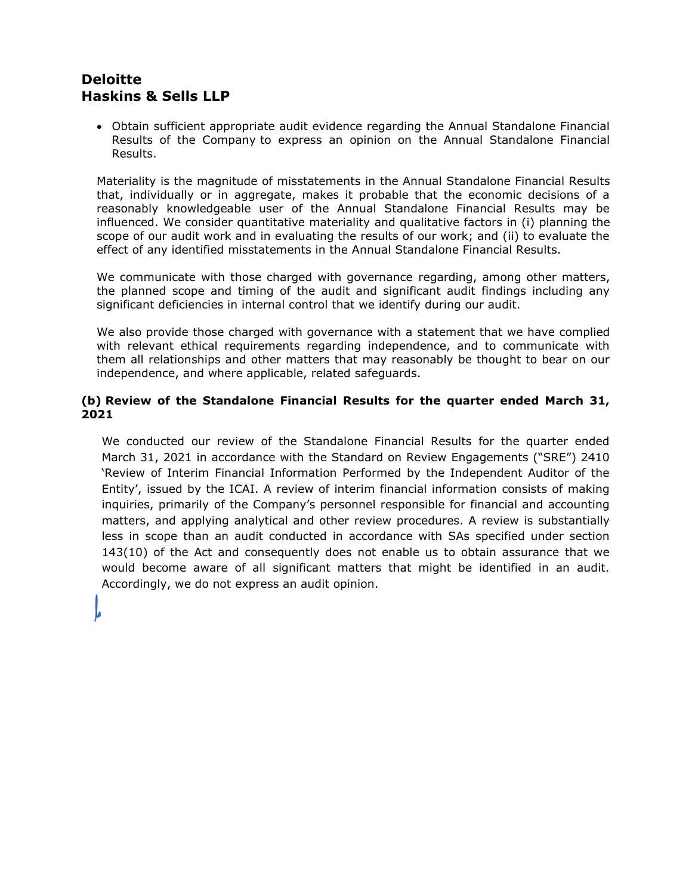• Obtain sufficient appropriate audit evidence regarding the Annual Standalone Financial Results of the Company to express an opinion on the Annual Standalone Financial Results.

Materiality is the magnitude of misstatements in the Annual Standalone Financial Results that, individually or in aggregate, makes it probable that the economic decisions of a reasonably knowledgeable user of the Annual Standalone Financial Results may be influenced. We consider quantitative materiality and qualitative factors in (i) planning the scope of our audit work and in evaluating the results of our work; and (ii) to evaluate the effect of any identified misstatements in the Annual Standalone Financial Results.

We communicate with those charged with governance regarding, among other matters, the planned scope and timing of the audit and significant audit findings including any significant deficiencies in internal control that we identify during our audit.

We also provide those charged with governance with a statement that we have complied with relevant ethical requirements regarding independence, and to communicate with them all relationships and other matters that may reasonably be thought to bear on our independence, and where applicable, related safeguards.

# **(b) Review of the Standalone Financial Results for the quarter ended March 31, 2021**

We conducted our review of the Standalone Financial Results for the quarter ended March 31, 2021 in accordance with the Standard on Review Engagements ("SRE") 2410 'Review of Interim Financial Information Performed by the Independent Auditor of the Entity', issued by the ICAI. A review of interim financial information consists of making inquiries, primarily of the Company's personnel responsible for financial and accounting matters, and applying analytical and other review procedures. A review is substantially less in scope than an audit conducted in accordance with SAs specified under section 143(10) of the Act and consequently does not enable us to obtain assurance that we would become aware of all significant matters that might be identified in an audit. Accordingly, we do not express an audit opinion.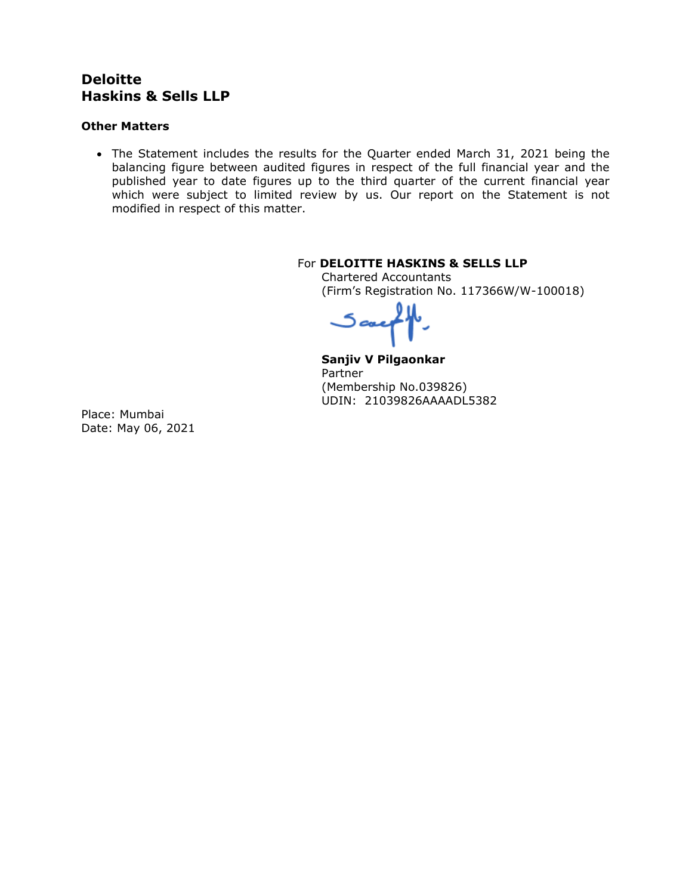# **Other Matters**

• The Statement includes the results for the Quarter ended March 31, 2021 being the balancing figure between audited figures in respect of the full financial year and the published year to date figures up to the third quarter of the current financial year which were subject to limited review by us. Our report on the Statement is not modified in respect of this matter.

# For **DELOITTE HASKINS & SELLS LLP**

Chartered Accountants (Firm's Registration No. 117366W/W-100018)

اعدی

**Sanjiv V Pilgaonkar** Partner (Membership No.039826) UDIN: 21039826AAAADL5382

Place: Mumbai Date: May 06, 2021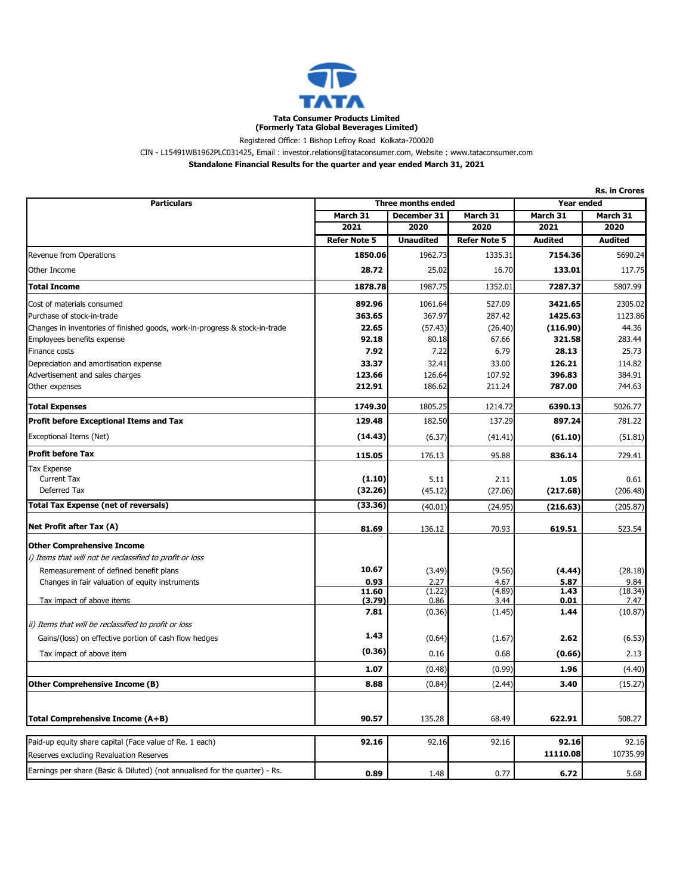

Registered Office: 1 Bishop Lefroy Road Kolkata-700020

CIN - L15491WB1962PLC031425, Email : investor.relations@tataconsumer.com, Website : www.tataconsumer.com

**Standalone Financial Results for the quarter and year ended March 31, 2021**

| <b>Particulars</b>                                                                                 | <b>Three months ended</b> |                  |                     | Year ended        |                   |
|----------------------------------------------------------------------------------------------------|---------------------------|------------------|---------------------|-------------------|-------------------|
|                                                                                                    | March 31                  | December 31      |                     | March 31          | March 31          |
|                                                                                                    | 2021                      | 2020             | 2020                | 2021              | 2020              |
|                                                                                                    | <b>Refer Note 5</b>       | <b>Unaudited</b> | <b>Refer Note 5</b> | <b>Audited</b>    | <b>Audited</b>    |
| Revenue from Operations                                                                            | 1850.06                   | 1962.73          | 1335.31             | 7154.36           | 5690.24           |
| Other Income                                                                                       | 28.72                     | 25.02            | 16.70               | 133.01            | 117.75            |
| Total Income                                                                                       | 1878.78                   | 1987.75          | 1352.01             | 7287.37           | 5807.99           |
| Cost of materials consumed                                                                         | 892.96                    | 1061.64          | 527.09              | 3421.65           | 2305.02           |
| Purchase of stock-in-trade                                                                         | 363.65                    | 367.97           | 287.42              | 1425.63           | 1123.86           |
| Changes in inventories of finished goods, work-in-progress & stock-in-trade                        | 22.65                     | (57.43)          | (26.40)             | (116.90)          | 44.36             |
| Employees benefits expense                                                                         | 92.18                     | 80.18            | 67.66               | 321.58            | 283.44            |
| Finance costs                                                                                      | 7.92                      | 7.22             | 6.79                | 28.13             | 25.73             |
| Depreciation and amortisation expense                                                              | 33.37                     | 32.41            | 33.00               | 126.21            | 114.82            |
| Advertisement and sales charges                                                                    | 123.66                    | 126.64           | 107.92              | 396.83            | 384.91            |
| Other expenses                                                                                     | 212.91                    | 186.62           | 211.24              | 787.00            | 744.63            |
| <b>Total Expenses</b>                                                                              | 1749.30                   | 1805.25          | 1214.72             | 6390.13           | 5026.77           |
| Profit before Exceptional Items and Tax                                                            | 129.48                    | 182.50           | 137.29              | 897.24            | 781.22            |
| Exceptional Items (Net)                                                                            | (14.43)                   | (6.37)           | (41.41)             | (61.10)           | (51.81)           |
| Profit before Tax                                                                                  | 115.05                    | 176.13           | 95.88               | 836.14            | 729.41            |
| Tax Expense                                                                                        |                           |                  |                     |                   |                   |
| <b>Current Tax</b>                                                                                 | (1.10)                    | 5.11             | 2.11                | 1.05              | 0.61              |
| Deferred Tax                                                                                       | (32.26)                   | (45.12)          | (27.06)             | (217.68)          | (206.48)          |
| Total Tax Expense (net of reversals)                                                               | (33.36)                   | (40.01)          | (24.95)             | (216.63)          | (205.87)          |
| Net Profit after Tax (A)                                                                           | 81.69                     | 136.12           | 70.93               | 619.51            | 523.54            |
| <b>Other Comprehensive Income</b>                                                                  |                           |                  |                     |                   |                   |
| i) Items that will not be reclassified to profit or loss                                           |                           |                  |                     |                   |                   |
| Remeasurement of defined benefit plans                                                             | 10.67                     | (3.49)           | (9.56)              | (4.44)            | (28.18)           |
| Changes in fair valuation of equity instruments                                                    | 0.93                      | 2.27             | 4.67                | 5.87              | 9.84              |
|                                                                                                    | 11.60                     | (1.22)           | (4.89)              | 1.43              | (18.34)           |
| Tax impact of above items                                                                          | (3.79)                    | 0.86             | 3.44                | 0.01              | 7.47              |
| ii) Items that will be reclassified to profit or loss                                              | 7.81                      | (0.36)           | (1.45)              | 1.44              | (10.87)           |
| Gains/(loss) on effective portion of cash flow hedges                                              | 1.43                      | (0.64)           | (1.67)              | 2.62              | (6.53)            |
| Tax impact of above item                                                                           | (0.36)                    | 0.16             | 0.68                | (0.66)            | 2.13              |
|                                                                                                    | 1.07                      | (0.48)           | (0.99)              | 1.96              | (4.40)            |
| Other Comprehensive Income (B)                                                                     | 8.88                      | (0.84)           | (2.44)              | 3.40              | (15.27)           |
|                                                                                                    |                           |                  |                     |                   |                   |
| Total Comprehensive Income (A+B)                                                                   | 90.57                     | 135.28           | 68.49               | 622.91            | 508.27            |
|                                                                                                    |                           |                  |                     |                   |                   |
| Paid-up equity share capital (Face value of Re. 1 each)<br>Reserves excluding Revaluation Reserves | 92.16                     | 92.16            | 92.16               | 92.16<br>11110.08 | 92.16<br>10735.99 |
| Earnings per share (Basic & Diluted) (not annualised for the quarter) - Rs.                        |                           |                  |                     |                   |                   |
|                                                                                                    | 0.89                      | 1.48             | 0.77                | 6.72              | 5.68              |

**Rs. in Crores**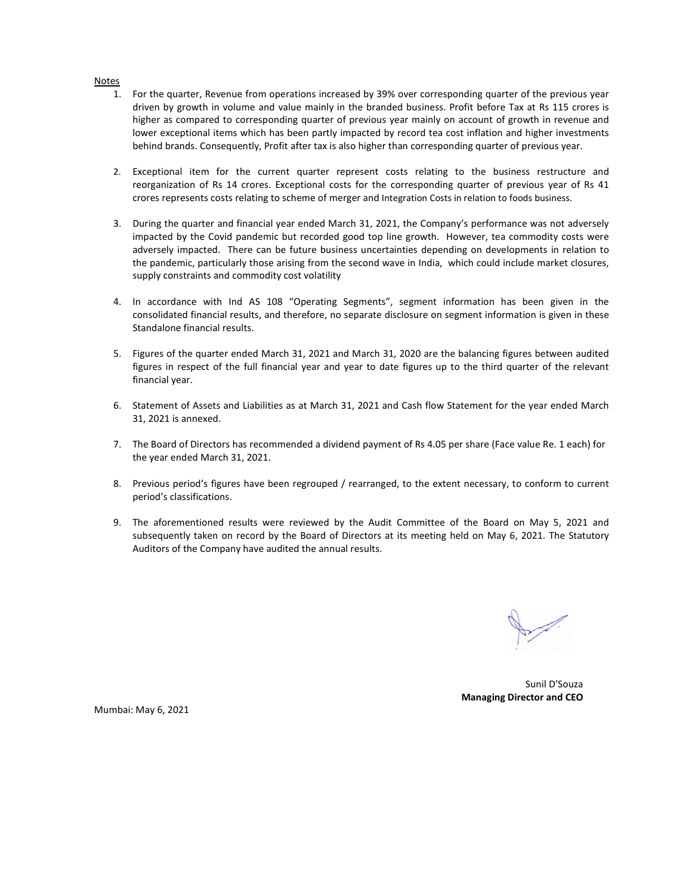#### Notes

- 1. For the quarter, Revenue from operations increased by 39% over corresponding quarter of the previous year driven by growth in volume and value mainly in the branded business. Profit before Tax at Rs 115 crores is higher as compared to corresponding quarter of previous year mainly on account of growth in revenue and lower exceptional items which has been partly impacted by record tea cost inflation and higher investments behind brands. Consequently, Profit after tax is also higher than corresponding quarter of previous year.
- 2. Exceptional item for the current quarter represent costs relating to the business restructure and reorganization of Rs 14 crores. Exceptional costs for the corresponding quarter of previous year of Rs 41 crores represents costs relating to scheme of merger and Integration Costs in relation to foods business.
- 3. During the quarter and financial year ended March 31, 2021, the Company's performance was not adversely impacted by the Covid pandemic but recorded good top line growth. However, tea commodity costs were adversely impacted. There can be future business uncertainties depending on developments in relation to the pandemic, particularly those arising from the second wave in India, which could include market closures, supply constraints and commodity cost volatility
- 4. In accordance with Ind AS 108 "Operating Segments", segment information has been given in the consolidated financial results, and therefore, no separate disclosure on segment information is given in these Standalone financial results.
- 5. Figures of the quarter ended March 31, 2021 and March 31, 2020 are the balancing figures between audited figures in respect of the full financial year and year to date figures up to the third quarter of the relevant financial year.
- 6. Statement of Assets and Liabilities as at March 31, 2021 and Cash flow Statement for the year ended March 31, 2021 is annexed.
- 7. The Board of Directors has recommended a dividend payment of Rs 4.05 per share (Face value Re. 1 each) for the year ended March 31, 2021.
- 8. Previous period's figures have been regrouped / rearranged, to the extent necessary, to conform to current period's classifications.
- 9. The aforementioned results were reviewed by the Audit Committee of the Board on May 5, 2021 and subsequently taken on record by the Board of Directors at its meeting held on May 6, 2021. The Statutory Auditors of the Company have audited the annual results.

 Sunil D'Souza **Managing Director and CEO**

Mumbai: May 6, 2021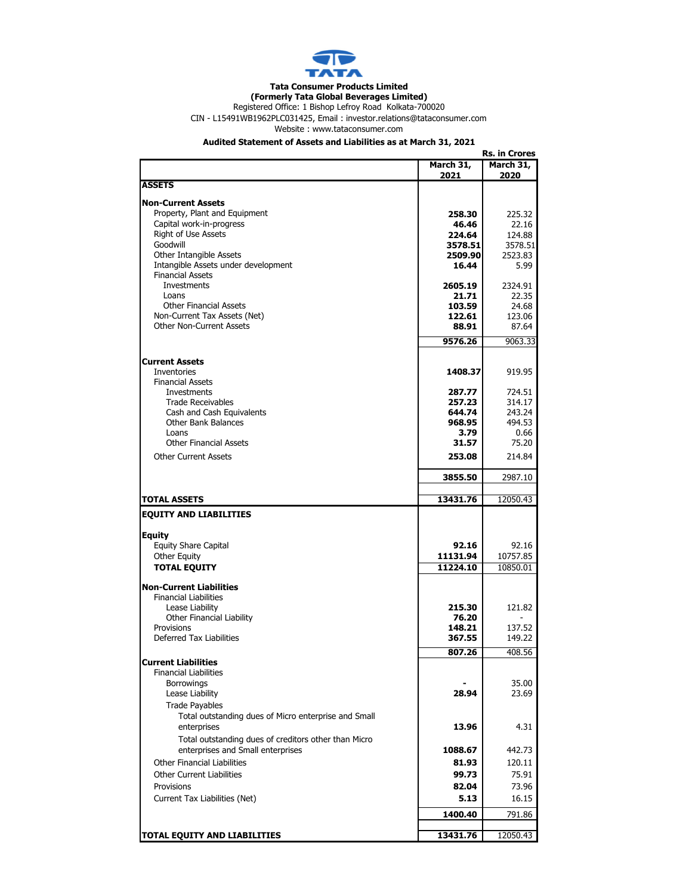

### **Tata Consumer Products Limited**

Registered Office: 1 Bishop Lefroy Road Kolkata-700020 **(Formerly Tata Global Beverages Limited)**

CIN - L15491WB1962PLC031425, Email : investor.relations@tataconsumer.com

Website : www.tataconsumer.com

### **Audited Statement of Assets and Liabilities as at March 31, 2021**

|                                                      |           | <b>Rs. in Crores</b> |
|------------------------------------------------------|-----------|----------------------|
|                                                      | March 31, | March 31,            |
|                                                      | 2021      | 2020                 |
| <b>ASSETS</b>                                        |           |                      |
|                                                      |           |                      |
| <b>Non-Current Assets</b>                            |           |                      |
| Property, Plant and Equipment                        | 258.30    | 225.32               |
| Capital work-in-progress                             | 46.46     | 22.16                |
| Right of Use Assets                                  | 224.64    | 124.88               |
| Goodwill                                             | 3578.51   | 3578.51              |
| Other Intangible Assets                              | 2509.90   | 2523.83              |
| Intangible Assets under development                  | 16.44     | 5.99                 |
| <b>Financial Assets</b>                              |           |                      |
| Investments                                          | 2605.19   | 2324.91              |
| Loans                                                | 21.71     | 22.35                |
| <b>Other Financial Assets</b>                        | 103.59    | 24.68                |
| Non-Current Tax Assets (Net)                         | 122.61    | 123.06               |
| <b>Other Non-Current Assets</b>                      | 88.91     | 87.64                |
|                                                      | 9576.26   | 9063.33              |
|                                                      |           |                      |
| <b>Current Assets</b>                                |           |                      |
| Inventories                                          | 1408.37   | 919.95               |
| <b>Financial Assets</b>                              |           |                      |
| <b>Investments</b>                                   | 287.77    | 724.51               |
| <b>Trade Receivables</b>                             | 257.23    | 314.17               |
| Cash and Cash Equivalents                            | 644.74    | 243.24               |
| <b>Other Bank Balances</b>                           | 968.95    | 494.53               |
| Loans                                                | 3.79      | 0.66                 |
| <b>Other Financial Assets</b>                        | 31.57     | 75.20                |
|                                                      |           |                      |
| <b>Other Current Assets</b>                          | 253.08    | 214.84               |
|                                                      | 3855.50   | 2987.10              |
|                                                      |           |                      |
| <b>TOTAL ASSETS</b>                                  | 13431.76  | 12050.43             |
| <b>EQUITY AND LIABILITIES</b>                        |           |                      |
|                                                      |           |                      |
| <b>Equity</b>                                        |           |                      |
| <b>Equity Share Capital</b>                          | 92.16     | 92.16                |
| <b>Other Equity</b>                                  | 11131.94  | 10757.85             |
| <b>TOTAL EQUITY</b>                                  | 11224.10  | 10850.01             |
|                                                      |           |                      |
| <b>Non-Current Liabilities</b>                       |           |                      |
| <b>Financial Liabilities</b>                         |           |                      |
| Lease Liability                                      | 215.30    | 121.82               |
| Other Financial Liability                            | 76.20     |                      |
| Provisions                                           | 148.21    | 137.52               |
| <b>Deferred Tax Liabilities</b>                      | 367.55    | 149.22               |
|                                                      | 807.26    | 408.56               |
| <b>Current Liabilities</b>                           |           |                      |
| <b>Financial Liabilities</b>                         |           |                      |
| <b>Borrowings</b>                                    |           | 35.00                |
| Lease Liability                                      | 28.94     | 23.69                |
| <b>Trade Payables</b>                                |           |                      |
| Total outstanding dues of Micro enterprise and Small |           |                      |
|                                                      |           |                      |
| enterprises                                          | 13.96     | 4.31                 |
| Total outstanding dues of creditors other than Micro |           |                      |
| enterprises and Small enterprises                    | 1088.67   | 442.73               |
| <b>Other Financial Liabilities</b>                   | 81.93     | 120.11               |
| <b>Other Current Liabilities</b>                     | 99.73     | 75.91                |
| Provisions                                           | 82.04     | 73.96                |
| Current Tax Liabilities (Net)                        | 5.13      | 16.15                |
|                                                      |           |                      |
|                                                      | 1400.40   | 791.86               |
| TOTAL EQUITY AND LIABILITIES                         | 13431.76  | 12050.43             |
|                                                      |           |                      |